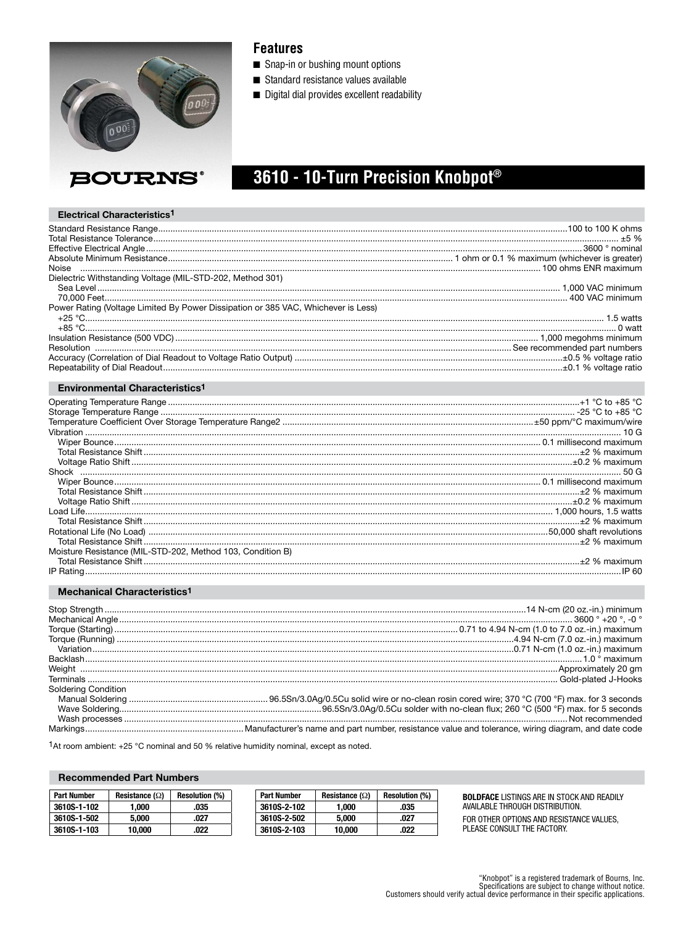

### **Features**

- Snap-in or bushing mount options
- Standard resistance values available
- Digital dial provides excellent readability

# 3610 - 10-Turn Precision Knobpot®

#### Electrical Characteristics<sup>1</sup>

| Dielectric Withstanding Voltage (MIL-STD-202, Method 301)                         |  |
|-----------------------------------------------------------------------------------|--|
|                                                                                   |  |
|                                                                                   |  |
| Power Rating (Voltage Limited By Power Dissipation or 385 VAC, Whichever is Less) |  |
|                                                                                   |  |
|                                                                                   |  |
|                                                                                   |  |
|                                                                                   |  |
|                                                                                   |  |
|                                                                                   |  |
| <b>Environmental Characteristics<sup>1</sup></b>                                  |  |

| $\frac{1}{2}$ % maximum $\frac{1}{2}$ % maximum $\frac{1}{2}$ % maximum $\frac{1}{2}$ % maximum |       |
|-------------------------------------------------------------------------------------------------|-------|
|                                                                                                 |       |
|                                                                                                 |       |
|                                                                                                 |       |
|                                                                                                 |       |
|                                                                                                 |       |
|                                                                                                 |       |
|                                                                                                 |       |
|                                                                                                 |       |
|                                                                                                 |       |
| Moisture Resistance (MIL-STD-202, Method 103, Condition B)                                      |       |
|                                                                                                 |       |
| IP Rating                                                                                       | IP 60 |

#### Mechanical Characteristics<sup>1</sup>

|                            | <u>Weight and Approximately</u> 20 gm |
|----------------------------|---------------------------------------|
|                            |                                       |
| <b>Soldering Condition</b> |                                       |
|                            |                                       |
|                            |                                       |
|                            |                                       |
|                            |                                       |

1At room ambient: +25 °C nominal and 50 % relative humidity nominal, except as noted.

#### **Recommended Part Numbers**

| <b>Part Number</b> | Resistance $(\Omega)$ | <b>Resolution (%)</b> | <b>Part Number</b> | Resistance $(\Omega)$ | <b>Resolution (%)</b> | <b>BOL</b> |
|--------------------|-----------------------|-----------------------|--------------------|-----------------------|-----------------------|------------|
| 3610S-1-102        | .000                  | .035                  | 3610S-2-102        | .000                  | .035                  | ava        |
| 3610S-1-502        | 5.000                 | .027                  | 3610S-2-502        | 5.000                 | .027                  | FOR        |
| 3610S-1-103        | 10.000                | .022                  | 3610S-2-103        | 10.000                | .022                  | PLE        |

LDFACE LISTINGS ARE IN STOCK AND READILY NILABLE THROUGH DISTRIBUTION.

OTHER OPTIONS AND RESISTANCE VALUES, ASE CONSULT THE FACTORY.